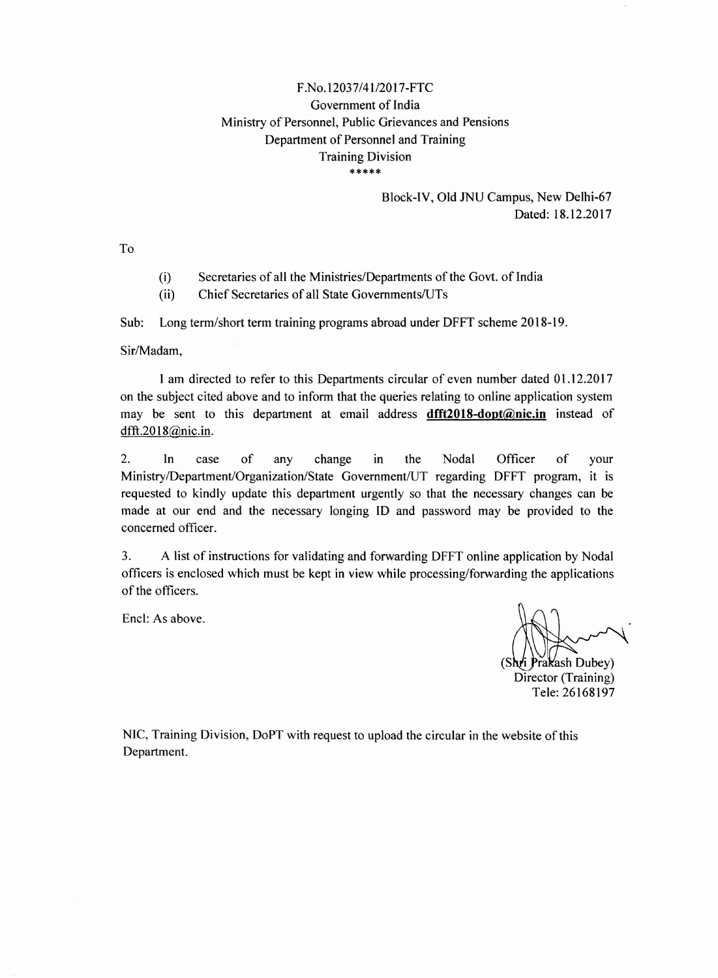## *F.No.12037/41/2017-FTC* Government of India Ministry of Personnel, Public Grievances and Pensions Department of Personnel and Training Training Division \*\*\*\*\*

## Block-IV, Old JNU Campus, New Delhi-67 Dated: 18.12.2017

To

- (i) Secretaries of all the Ministries/Departments of the Govt. of India
- (ii) Chief Secretaries of all State Govemments/U'Ts

Sub: Long term/short term training programs abroad under DFFT scheme 2018-19.

Sir/Madam,

I am directed to refer to this Departments circular of even number dated 01.12.2017 on the subject cited above and to inform that the queries relating to online application system may be sent to this department at email address dfft2018-dopt@nic.in instead of dfft.20 18@nic.in.

2. In case of any change in the Nodal Officer of your Ministry/Department/Organization/State Government/UT regarding DFFT program, it is requested to kindly update this department urgently so that the necessary changes can be made at our end and the necessary longing ID and password may be provided to the concerned officer.

3. A list of instructions for validating and forwarding DFFT online application by Nodal officers is enclosed which must be kept in view while processing/forwarding the applications of the officers.

Encl: As above.

Prakash Dubey) Director (Training) Tele: 26168197

NIC, Training Division, DoPT with request to upload the circular in the website of this Department.